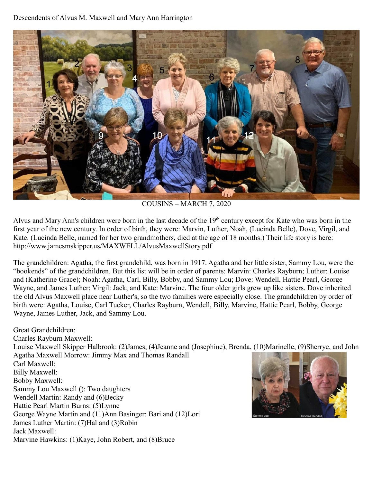## Descendents of Alvus M. Maxwell and Mary Ann Harrington



COUSINS – MARCH 7, 2020

Alvus and Mary Ann's children were born in the last decade of the 19<sup>th</sup> century except for Kate who was born in the first year of the new century. In order of birth, they were: Marvin, Luther, Noah, (Lucinda Belle), Dove, Virgil, and Kate. (Lucinda Belle, named for her two grandmothers, died at the age of 18 months.) Their life story is here: http://www.jamesmskipper.us/MAXWELL/AlvusMaxwellStory.pdf

The grandchildren: Agatha, the first grandchild, was born in 1917. Agatha and her little sister, Sammy Lou, were the "bookends" of the grandchildren. But this list will be in order of parents: Marvin: Charles Rayburn; Luther: Louise and (Katherine Grace); Noah: Agatha, Carl, Billy, Bobby, and Sammy Lou; Dove: Wendell, Hattie Pearl, George Wayne, and James Luther; Virgil: Jack; and Kate: Marvine. The four older girls grew up like sisters. Dove inherited the old Alvus Maxwell place near Luther's, so the two families were especially close. The grandchildren by order of birth were: Agatha, Louise, Carl Tucker, Charles Rayburn, Wendell, Billy, Marvine, Hattie Pearl, Bobby, George Wayne, James Luther, Jack, and Sammy Lou.

Great Grandchildren: Charles Rayburn Maxwell: Louise Maxwell Skipper Halbrook: (2)James, (4)Jeanne and (Josephine), Brenda, (10)Marinelle, (9)Sherrye, and John Agatha Maxwell Morrow: Jimmy Max and Thomas Randall Carl Maxwell: Billy Maxwell: Bobby Maxwell: Sammy Lou Maxwell (): Two daughters Wendell Martin: Randy and (6)Becky Hattie Pearl Martin Burns: (5)Lynne George Wayne Martin and (11)Ann Basinger: Bari and (12)Lori James Luther Martin: (7)Hal and (3)Robin Jack Maxwell: Marvine Hawkins: (1)Kaye, John Robert, and (8)Bruce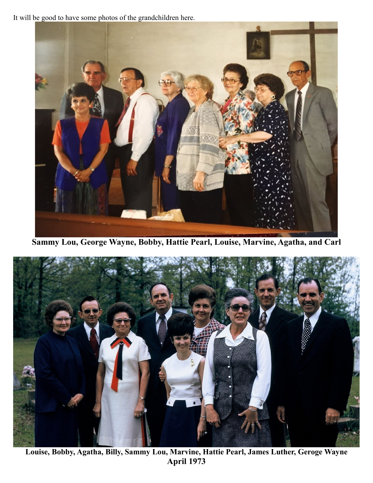It will be good to have some photos of the grandchildren here.



**Sammy Lou, George Wayne, Bobby, Hattie Pearl, Louise, Marvine, Agatha, and Carl**



**Louise, Bobby, Agatha, Billy, Sammy Lou, Marvine, Hattie Pearl, James Luther, Geroge Wayne April 1973**